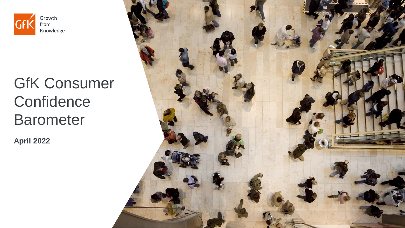

# GfK Consumer **Confidence Barometer**

**April 2022**

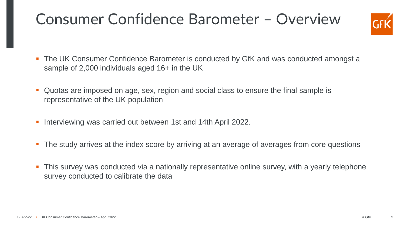## Consumer Confidence Barometer – Overview



- The UK Consumer Confidence Barometer is conducted by GfK and was conducted amongst a sample of 2,000 individuals aged 16+ in the UK
- Quotas are imposed on age, sex, region and social class to ensure the final sample is representative of the UK population
- Interviewing was carried out between 1st and 14th April 2022.
- **The study arrives at the index score by arriving at an average of averages from core questions**
- **•** This survey was conducted via a nationally representative online survey, with a yearly telephone survey conducted to calibrate the data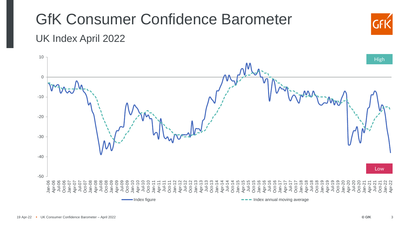#### GfK Consumer Confidence Barometer UK Index April 2022 Jan-06 Apr-06 Jul-06 Oct-06 Jan-07 Apr-07 Jul-07 Oct-07 Jan-08 Apr-08 Jul-08 Oct-08 Jan-09 Apr-09 Jul-09 Oct-09 Jan-10 Apr-10 Jul-10 Oct-10 Jan-11 Apr-11 Jul-11 Oct-11 Jan-12 Apr-12 Jul-12 Oct-12 Jan-13 Apr-13 Jul-13 Oct-13 Jan-14 Apr-14 Jul-14 Oct-14 Jan-15 Apr-15 Jul-15 Oct-15 Jan-16 Apr-16 Jul-16 Oct-16 Jan-17 Apr-17 Jul-17 Oct-17 Jan-18 Apr-18 Jul-18 Oct-18 Jan-19 Apr-19 Jul-19 Oct-19 Jan-20 Apr-20 Jul-20 Oct-20 Jan-21 Apr-21 Jul-21 Oct-21 Jan-22 Apr-2 -50 -40 -30 -20 -10 0 10 Index figure **Index annual moving average** Index annual moving average **High** Low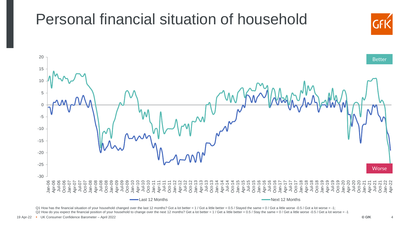

Q1 How has the financial situation of your household changed over the last 12 months? Got a lot better = 1 / Got a little better = 0.5 / Stayed the same = 0 / Got a little worse -0.5 / Got a lot worse = -1; Q2 How do you expect the financial position of your household to change over the next 12 months? Get a lot better = 1 / Get a little better = 0.5 / Stay the same = 0 / Get a little worse -0.5 / Get a lot worse = -1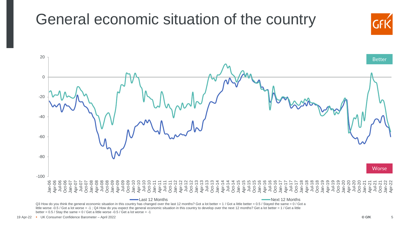

Q3 How do you think the general economic situation in this country has changed over the last 12 months? Got a lot better = 1 / Got a little better = 0.5 / Stayed the same = 0 / Got a little worse -0.5 / Got a lot worse = -1; Q4 How do you expect the general economic situation in this country to develop over the next 12 months? Get a lot better = 1 / Get a little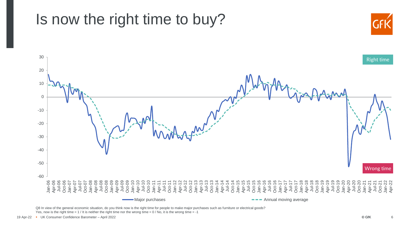### Is now the right time to buy?





Q8 In view of the general economic situation, do you think now is the right time for people to make major purchases such as furniture or electrical goods? Yes, now is the right time =  $1$  / It is neither the right time nor the wrong time =  $0$  / No, it is the wrong time =  $-1$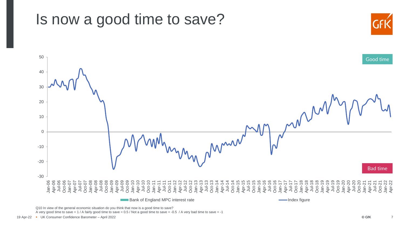

A very good time to save = 1 / A fairly good time to save = 0.5 / Not a good time to save = -0.5 / A very bad time to save = -1